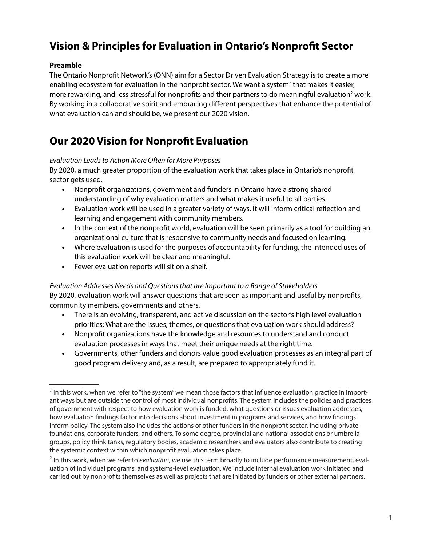## **Vision & Principles for Evaluation in Ontario's Nonprofit Sector**

#### **Preamble**

The Ontario Nonprofit Network's (ONN) aim for a Sector Driven Evaluation Strategy is to create a more enabling ecosystem for evaluation in the nonprofit sector. We want a system*<sup>1</sup>* that makes it easier, more rewarding, and less stressful for nonprofits and their partners to do meaningful evaluation<sup>2</sup> work. By working in a collaborative spirit and embracing different perspectives that enhance the potential of what evaluation can and should be, we present our 2020 vision.

## **Our 2020 Vision for Nonprofit Evaluation**

#### *Evaluation Leads to Action More Often for More Purposes*

By 2020, a much greater proportion of the evaluation work that takes place in Ontario's nonprofit sector gets used.

- **•** Nonprofit organizations, government and funders in Ontario have a strong shared understanding of why evaluation matters and what makes it useful to all parties.
- **•** Evaluation work will be used in a greater variety of ways. It will inform critical reflection and learning and engagement with community members.
- **•** In the context of the nonprofit world, evaluation will be seen primarily as a tool for building an organizational culture that is responsive to community needs and focused on learning.
- **•** Where evaluation is used for the purposes of accountability for funding, the intended uses of this evaluation work will be clear and meaningful.
- **•** Fewer evaluation reports will sit on a shelf.

#### *Evaluation Addresses Needs and Questions that are Important to a Range of Stakeholders*

By 2020, evaluation work will answer questions that are seen as important and useful by nonprofits, community members, governments and others.

- **•** There is an evolving, transparent, and active discussion on the sector's high level evaluation priorities: What are the issues, themes, or questions that evaluation work should address?
- **•** Nonprofit organizations have the knowledge and resources to understand and conduct evaluation processes in ways that meet their unique needs at the right time.
- **•** Governments, other funders and donors value good evaluation processes as an integral part of good program delivery and, as a result, are prepared to appropriately fund it.

 $<sup>1</sup>$  In this work, when we refer to "the system" we mean those factors that influence evaluation practice in import-</sup> ant ways but are outside the control of most individual nonprofits. The system includes the policies and practices of government with respect to how evaluation work is funded, what questions or issues evaluation addresses, how evaluation findings factor into decisions about investment in programs and services, and how findings inform policy. The system also includes the actions of other funders in the nonprofit sector, including private foundations, corporate funders, and others. To some degree, provincial and national associations or umbrella groups, policy think tanks, regulatory bodies, academic researchers and evaluators also contribute to creating the systemic context within which nonprofit evaluation takes place.

<sup>2</sup> In this work, when we refer to *evaluation*, we use this term broadly to include performance measurement, evaluation of individual programs, and systems-level evaluation. We include internal evaluation work initiated and carried out by nonprofits themselves as well as projects that are initiated by funders or other external partners.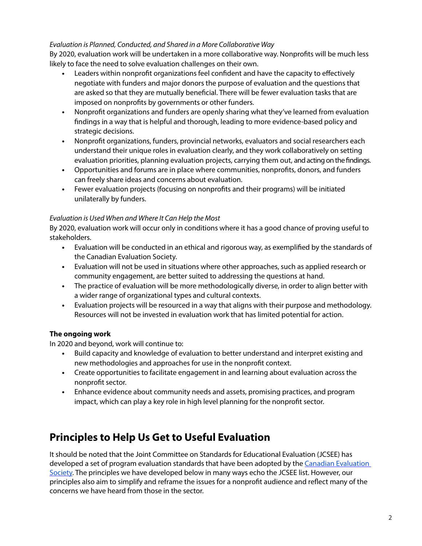#### *Evaluation is Planned, Conducted, and Shared in a More Collaborative Way*

By 2020, evaluation work will be undertaken in a more collaborative way. Nonprofits will be much less likely to face the need to solve evaluation challenges on their own.

- **•** Leaders within nonprofit organizations feel confident and have the capacity to effectively negotiate with funders and major donors the purpose of evaluation and the questions that are asked so that they are mutually beneficial. There will be fewer evaluation tasks that are imposed on nonprofits by governments or other funders.
- **•** Nonprofit organizations and funders are openly sharing what they've learned from evaluation findings in a way that is helpful and thorough, leading to more evidence-based policy and strategic decisions.
- **•** Nonprofit organizations, funders, provincial networks, evaluators and social researchers each understand their unique roles in evaluation clearly, and they work collaboratively on setting evaluation priorities, planning evaluation projects, carrying them out, and acting on the findings.
- **•** Opportunities and forums are in place where communities, nonprofits, donors, and funders can freely share ideas and concerns about evaluation.
- **•** Fewer evaluation projects (focusing on nonprofits and their programs) will be initiated unilaterally by funders.

#### *Evaluation is Used When and Where It Can Help the Most*

By 2020, evaluation work will occur only in conditions where it has a good chance of proving useful to stakeholders.

- **•** Evaluation will be conducted in an ethical and rigorous way, as exemplified by the standards of the Canadian Evaluation Society.
- **•** Evaluation will not be used in situations where other approaches, such as applied research or community engagement, are better suited to addressing the questions at hand.
- **•** The practice of evaluation will be more methodologically diverse, in order to align better with a wider range of organizational types and cultural contexts.
- **•** Evaluation projects will be resourced in a way that aligns with their purpose and methodology. Resources will not be invested in evaluation work that has limited potential for action.

#### **The ongoing work**

In 2020 and beyond, work will continue to:

- **•** Build capacity and knowledge of evaluation to better understand and interpret existing and new methodologies and approaches for use in the nonprofit context.
- **•** Create opportunities to facilitate engagement in and learning about evaluation across the nonprofit sector.
- **•** Enhance evidence about community needs and assets, promising practices, and program impact, which can play a key role in high level planning for the nonprofit sector.

### **Principles to Help Us Get to Useful Evaluation**

It should be noted that the Joint Committee on Standards for Educational Evaluation (JCSEE) has developed a set of program evaluation standards that have been adopted by t[he Canadian Evaluation](http://evaluationcanada.ca/program-evaluation-standards)  Society. The principles we have developed below in many ways echo the JCSEE list. However, our principles also aim to simplify and reframe the issues for a nonprofit audience and reflect many of the concerns we have heard from those in the sector.